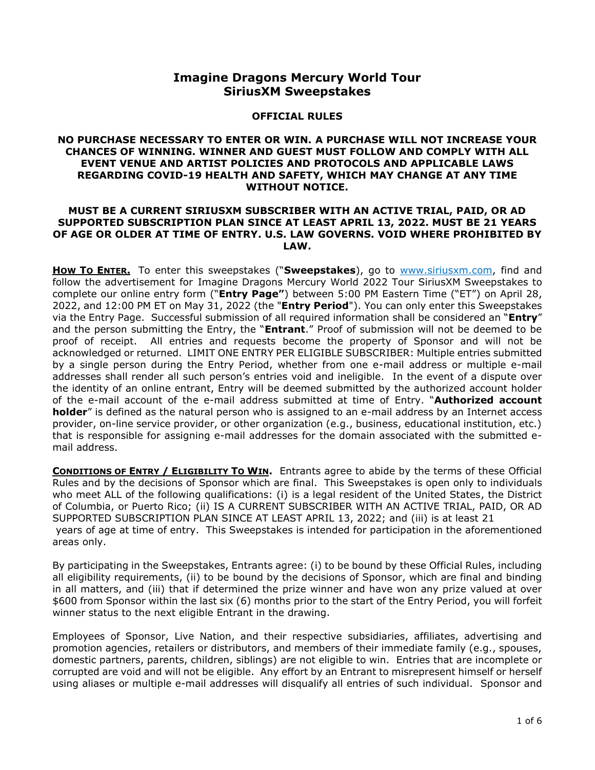# **Imagine Dragons Mercury World Tour SiriusXM Sweepstakes**

### **OFFICIAL RULES**

# **NO PURCHASE NECESSARY TO ENTER OR WIN. A PURCHASE WILL NOT INCREASE YOUR CHANCES OF WINNING. WINNER AND GUEST MUST FOLLOW AND COMPLY WITH ALL EVENT VENUE AND ARTIST POLICIES AND PROTOCOLS AND APPLICABLE LAWS REGARDING COVID-19 HEALTH AND SAFETY, WHICH MAY CHANGE AT ANY TIME WITHOUT NOTICE.**

# **MUST BE A CURRENT SIRIUSXM SUBSCRIBER WITH AN ACTIVE TRIAL, PAID, OR AD SUPPORTED SUBSCRIPTION PLAN SINCE AT LEAST APRIL 13, 2022. MUST BE 21 YEARS OF AGE OR OLDER AT TIME OF ENTRY. U.S. LAW GOVERNS. VOID WHERE PROHIBITED BY LAW.**

**HOW TO ENTER.** To enter this sweepstakes ("**Sweepstakes**), go to [www.siriusxm.com,](http://www.siriusxm.com/) find and follow the advertisement for Imagine Dragons Mercury World 2022 Tour SiriusXM Sweepstakes to complete our online entry form ("**Entry Page"**) between 5:00 PM Eastern Time ("ET") on April 28, 2022, and 12:00 PM ET on May 31, 2022 (the "**Entry Period**"). You can only enter this Sweepstakes via the Entry Page. Successful submission of all required information shall be considered an "**Entry**" and the person submitting the Entry, the "**Entrant**." Proof of submission will not be deemed to be proof of receipt. All entries and requests become the property of Sponsor and will not be acknowledged or returned. LIMIT ONE ENTRY PER ELIGIBLE SUBSCRIBER: Multiple entries submitted by a single person during the Entry Period, whether from one e-mail address or multiple e-mail addresses shall render all such person's entries void and ineligible. In the event of a dispute over the identity of an online entrant, Entry will be deemed submitted by the authorized account holder of the e-mail account of the e-mail address submitted at time of Entry. "**Authorized account holder**" is defined as the natural person who is assigned to an e-mail address by an Internet access provider, on-line service provider, or other organization (e.g., business, educational institution, etc.) that is responsible for assigning e-mail addresses for the domain associated with the submitted email address.

**CONDITIONS OF ENTRY / ELIGIBILITY TO WIN.** Entrants agree to abide by the terms of these Official Rules and by the decisions of Sponsor which are final. This Sweepstakes is open only to individuals who meet ALL of the following qualifications: (i) is a legal resident of the United States, the District of Columbia, or Puerto Rico; (ii) IS A CURRENT SUBSCRIBER WITH AN ACTIVE TRIAL, PAID, OR AD SUPPORTED SUBSCRIPTION PLAN SINCE AT LEAST APRIL 13, 2022; and (iii) is at least 21 years of age at time of entry. This Sweepstakes is intended for participation in the aforementioned areas only.

By participating in the Sweepstakes, Entrants agree: (i) to be bound by these Official Rules, including all eligibility requirements, (ii) to be bound by the decisions of Sponsor, which are final and binding in all matters, and (iii) that if determined the prize winner and have won any prize valued at over \$600 from Sponsor within the last six (6) months prior to the start of the Entry Period, you will forfeit winner status to the next eligible Entrant in the drawing.

Employees of Sponsor, Live Nation, and their respective subsidiaries, affiliates, advertising and promotion agencies, retailers or distributors, and members of their immediate family (e.g., spouses, domestic partners, parents, children, siblings) are not eligible to win. Entries that are incomplete or corrupted are void and will not be eligible. Any effort by an Entrant to misrepresent himself or herself using aliases or multiple e-mail addresses will disqualify all entries of such individual. Sponsor and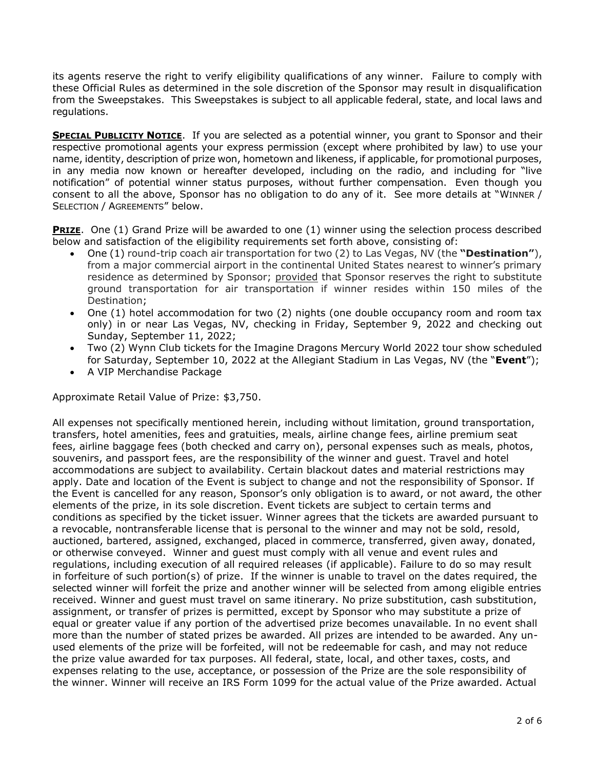its agents reserve the right to verify eligibility qualifications of any winner. Failure to comply with these Official Rules as determined in the sole discretion of the Sponsor may result in disqualification from the Sweepstakes. This Sweepstakes is subject to all applicable federal, state, and local laws and regulations.

**SPECIAL PUBLICITY NOTICE.** If you are selected as a potential winner, you grant to Sponsor and their respective promotional agents your express permission (except where prohibited by law) to use your name, identity, description of prize won, hometown and likeness, if applicable, for promotional purposes, in any media now known or hereafter developed, including on the radio, and including for "live notification" of potential winner status purposes, without further compensation. Even though you consent to all the above, Sponsor has no obligation to do any of it. See more details at "WINNER / SELECTION / AGREEMENTS" below.

**PRIZE.** One (1) Grand Prize will be awarded to one (1) winner using the selection process described below and satisfaction of the eligibility requirements set forth above, consisting of:

- One (1) round-trip coach air transportation for two (2) to Las Vegas, NV (the **"Destination"**), from a major commercial airport in the continental United States nearest to winner's primary residence as determined by Sponsor; provided that Sponsor reserves the right to substitute ground transportation for air transportation if winner resides within 150 miles of the Destination;
- One (1) hotel accommodation for two (2) nights (one double occupancy room and room tax only) in or near Las Vegas, NV, checking in Friday, September 9, 2022 and checking out Sunday, September 11, 2022;
- Two (2) Wynn Club tickets for the Imagine Dragons Mercury World 2022 tour show scheduled for Saturday, September 10, 2022 at the Allegiant Stadium in Las Vegas, NV (the "**Event**");
- A VIP Merchandise Package

Approximate Retail Value of Prize: \$3,750.

All expenses not specifically mentioned herein, including without limitation, ground transportation, transfers, hotel amenities, fees and gratuities, meals, airline change fees, airline premium seat fees, airline baggage fees (both checked and carry on), personal expenses such as meals, photos, souvenirs, and passport fees, are the responsibility of the winner and guest. Travel and hotel accommodations are subject to availability. Certain blackout dates and material restrictions may apply. Date and location of the Event is subject to change and not the responsibility of Sponsor. If the Event is cancelled for any reason, Sponsor's only obligation is to award, or not award, the other elements of the prize, in its sole discretion. Event tickets are subject to certain terms and conditions as specified by the ticket issuer. Winner agrees that the tickets are awarded pursuant to a revocable, nontransferable license that is personal to the winner and may not be sold, resold, auctioned, bartered, assigned, exchanged, placed in commerce, transferred, given away, donated, or otherwise conveyed. Winner and guest must comply with all venue and event rules and regulations, including execution of all required releases (if applicable). Failure to do so may result in forfeiture of such portion(s) of prize. If the winner is unable to travel on the dates required, the selected winner will forfeit the prize and another winner will be selected from among eligible entries received. Winner and guest must travel on same itinerary. No prize substitution, cash substitution, assignment, or transfer of prizes is permitted, except by Sponsor who may substitute a prize of equal or greater value if any portion of the advertised prize becomes unavailable. In no event shall more than the number of stated prizes be awarded. All prizes are intended to be awarded. Any unused elements of the prize will be forfeited, will not be redeemable for cash, and may not reduce the prize value awarded for tax purposes. All federal, state, local, and other taxes, costs, and expenses relating to the use, acceptance, or possession of the Prize are the sole responsibility of the winner. Winner will receive an IRS Form 1099 for the actual value of the Prize awarded. Actual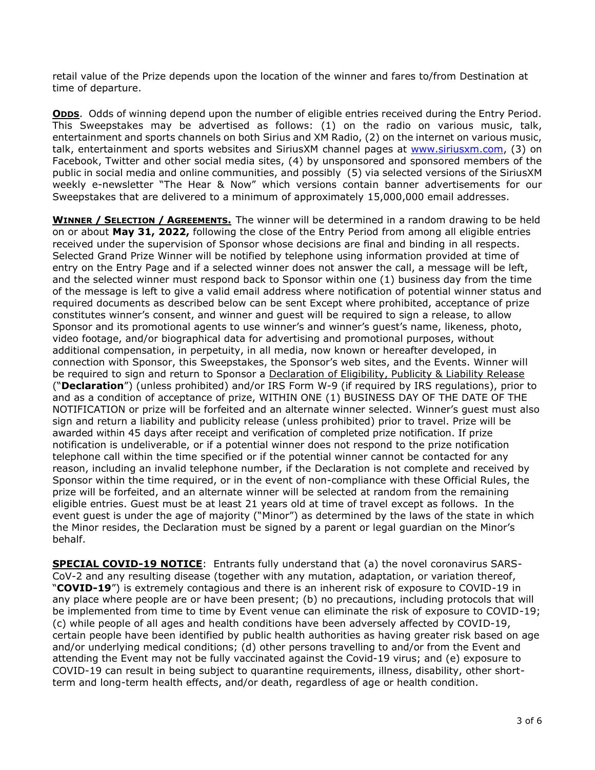retail value of the Prize depends upon the location of the winner and fares to/from Destination at time of departure.

**ODDS.** Odds of winning depend upon the number of eligible entries received during the Entry Period. This Sweepstakes may be advertised as follows: (1) on the radio on various music, talk, entertainment and sports channels on both Sirius and XM Radio, (2) on the internet on various music, talk, entertainment and sports websites and SiriusXM channel pages at [www.siriusxm.com,](http://www.siriusxm.com/) (3) on Facebook, Twitter and other social media sites, (4) by unsponsored and sponsored members of the public in social media and online communities, and possibly (5) via selected versions of the SiriusXM weekly e-newsletter "The Hear & Now" which versions contain banner advertisements for our Sweepstakes that are delivered to a minimum of approximately 15,000,000 email addresses.

**WINNER / SELECTION / AGREEMENTS.** The winner will be determined in a random drawing to be held on or about **May 31, 2022,** following the close of the Entry Period from among all eligible entries received under the supervision of Sponsor whose decisions are final and binding in all respects. Selected Grand Prize Winner will be notified by telephone using information provided at time of entry on the Entry Page and if a selected winner does not answer the call, a message will be left, and the selected winner must respond back to Sponsor within one (1) business day from the time of the message is left to give a valid email address where notification of potential winner status and required documents as described below can be sent Except where prohibited, acceptance of prize constitutes winner's consent, and winner and guest will be required to sign a release, to allow Sponsor and its promotional agents to use winner's and winner's guest's name, likeness, photo, video footage, and/or biographical data for advertising and promotional purposes, without additional compensation, in perpetuity, in all media, now known or hereafter developed, in connection with Sponsor, this Sweepstakes, the Sponsor's web sites, and the Events. Winner will be required to sign and return to Sponsor a Declaration of Eligibility, Publicity & Liability Release ("**Declaration**") (unless prohibited) and/or IRS Form W-9 (if required by IRS regulations), prior to and as a condition of acceptance of prize, WITHIN ONE (1) BUSINESS DAY OF THE DATE OF THE NOTIFICATION or prize will be forfeited and an alternate winner selected. Winner's guest must also sign and return a liability and publicity release (unless prohibited) prior to travel. Prize will be awarded within 45 days after receipt and verification of completed prize notification. If prize notification is undeliverable, or if a potential winner does not respond to the prize notification telephone call within the time specified or if the potential winner cannot be contacted for any reason, including an invalid telephone number, if the Declaration is not complete and received by Sponsor within the time required, or in the event of non-compliance with these Official Rules, the prize will be forfeited, and an alternate winner will be selected at random from the remaining eligible entries. Guest must be at least 21 years old at time of travel except as follows. In the event guest is under the age of majority ("Minor") as determined by the laws of the state in which the Minor resides, the Declaration must be signed by a parent or legal guardian on the Minor's behalf.

**SPECIAL COVID-19 NOTICE:** Entrants fully understand that (a) the novel coronavirus SARS-CoV-2 and any resulting disease (together with any mutation, adaptation, or variation thereof, "**COVID-19**") is extremely contagious and there is an inherent risk of exposure to COVID-19 in any place where people are or have been present; (b) no precautions, including protocols that will be implemented from time to time by Event venue can eliminate the risk of exposure to COVID-19; (c) while people of all ages and health conditions have been adversely affected by COVID-19, certain people have been identified by public health authorities as having greater risk based on age and/or underlying medical conditions; (d) other persons travelling to and/or from the Event and attending the Event may not be fully vaccinated against the Covid-19 virus; and (e) exposure to COVID-19 can result in being subject to quarantine requirements, illness, disability, other shortterm and long-term health effects, and/or death, regardless of age or health condition.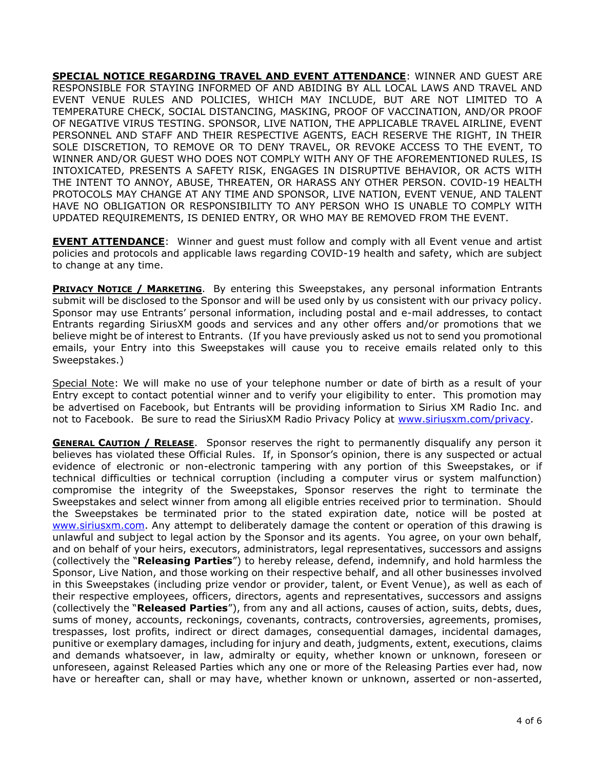**SPECIAL NOTICE REGARDING TRAVEL AND EVENT ATTENDANCE**: WINNER AND GUEST ARE RESPONSIBLE FOR STAYING INFORMED OF AND ABIDING BY ALL LOCAL LAWS AND TRAVEL AND EVENT VENUE RULES AND POLICIES, WHICH MAY INCLUDE, BUT ARE NOT LIMITED TO A TEMPERATURE CHECK, SOCIAL DISTANCING, MASKING, PROOF OF VACCINATION, AND/OR PROOF OF NEGATIVE VIRUS TESTING. SPONSOR, LIVE NATION, THE APPLICABLE TRAVEL AIRLINE, EVENT PERSONNEL AND STAFF AND THEIR RESPECTIVE AGENTS, EACH RESERVE THE RIGHT, IN THEIR SOLE DISCRETION, TO REMOVE OR TO DENY TRAVEL, OR REVOKE ACCESS TO THE EVENT, TO WINNER AND/OR GUEST WHO DOES NOT COMPLY WITH ANY OF THE AFOREMENTIONED RULES, IS INTOXICATED, PRESENTS A SAFETY RISK, ENGAGES IN DISRUPTIVE BEHAVIOR, OR ACTS WITH THE INTENT TO ANNOY, ABUSE, THREATEN, OR HARASS ANY OTHER PERSON. COVID-19 HEALTH PROTOCOLS MAY CHANGE AT ANY TIME AND SPONSOR, LIVE NATION, EVENT VENUE, AND TALENT HAVE NO OBLIGATION OR RESPONSIBILITY TO ANY PERSON WHO IS UNABLE TO COMPLY WITH UPDATED REQUIREMENTS, IS DENIED ENTRY, OR WHO MAY BE REMOVED FROM THE EVENT.

**EVENT ATTENDANCE**: Winner and guest must follow and comply with all Event venue and artist policies and protocols and applicable laws regarding COVID-19 health and safety, which are subject to change at any time.

**PRIVACY NOTICE / MARKETING**. By entering this Sweepstakes, any personal information Entrants submit will be disclosed to the Sponsor and will be used only by us consistent with our privacy policy. Sponsor may use Entrants' personal information, including postal and e-mail addresses, to contact Entrants regarding SiriusXM goods and services and any other offers and/or promotions that we believe might be of interest to Entrants. (If you have previously asked us not to send you promotional emails, your Entry into this Sweepstakes will cause you to receive emails related only to this Sweepstakes.)

Special Note: We will make no use of your telephone number or date of birth as a result of your Entry except to contact potential winner and to verify your eligibility to enter. This promotion may be advertised on Facebook, but Entrants will be providing information to Sirius XM Radio Inc. and not to Facebook. Be sure to read the SiriusXM Radio Privacy Policy at [www.siriusxm.com/privacy.](http://www.siriusxm.com/privacy)

**GENERAL CAUTION / RELEASE**. Sponsor reserves the right to permanently disqualify any person it believes has violated these Official Rules. If, in Sponsor's opinion, there is any suspected or actual evidence of electronic or non-electronic tampering with any portion of this Sweepstakes, or if technical difficulties or technical corruption (including a computer virus or system malfunction) compromise the integrity of the Sweepstakes, Sponsor reserves the right to terminate the Sweepstakes and select winner from among all eligible entries received prior to termination. Should the Sweepstakes be terminated prior to the stated expiration date, notice will be posted at [www.siriusxm.com.](http://www.siriusxm.com/) Any attempt to deliberately damage the content or operation of this drawing is unlawful and subject to legal action by the Sponsor and its agents. You agree, on your own behalf, and on behalf of your heirs, executors, administrators, legal representatives, successors and assigns (collectively the "**Releasing Parties**") to hereby release, defend, indemnify, and hold harmless the Sponsor, Live Nation, and those working on their respective behalf, and all other businesses involved in this Sweepstakes (including prize vendor or provider, talent, or Event Venue), as well as each of their respective employees, officers, directors, agents and representatives, successors and assigns (collectively the "**Released Parties**"), from any and all actions, causes of action, suits, debts, dues, sums of money, accounts, reckonings, covenants, contracts, controversies, agreements, promises, trespasses, lost profits, indirect or direct damages, consequential damages, incidental damages, punitive or exemplary damages, including for injury and death, judgments, extent, executions, claims and demands whatsoever, in law, admiralty or equity, whether known or unknown, foreseen or unforeseen, against Released Parties which any one or more of the Releasing Parties ever had, now have or hereafter can, shall or may have, whether known or unknown, asserted or non-asserted,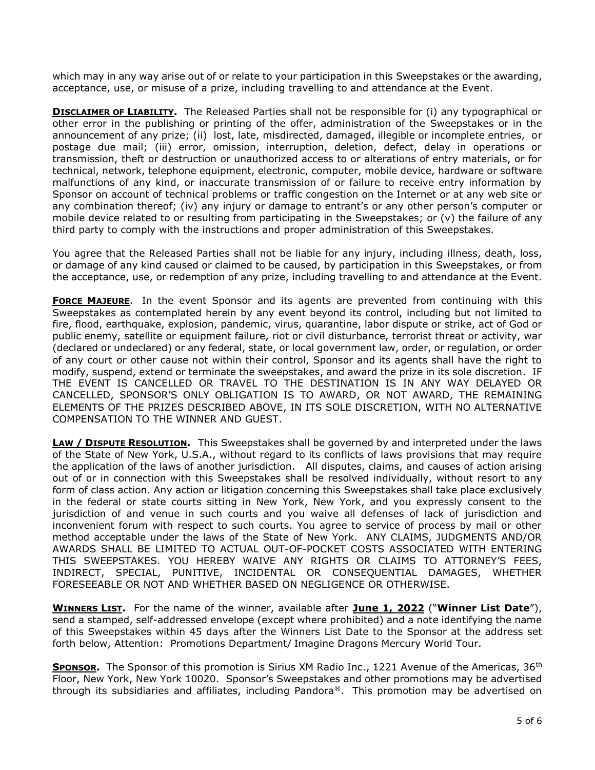which may in any way arise out of or relate to your participation in this Sweepstakes or the awarding, acceptance, use, or misuse of a prize, including travelling to and attendance at the Event.

**DISCLAIMER OF LIABILITY.** The Released Parties shall not be responsible for (i) any typographical or other error in the publishing or printing of the offer, administration of the Sweepstakes or in the announcement of any prize; (ii) lost, late, misdirected, damaged, illegible or incomplete entries, or postage due mail; (iii) error, omission, interruption, deletion, defect, delay in operations or transmission, theft or destruction or unauthorized access to or alterations of entry materials, or for technical, network, telephone equipment, electronic, computer, mobile device, hardware or software malfunctions of any kind, or inaccurate transmission of or failure to receive entry information by Sponsor on account of technical problems or traffic congestion on the Internet or at any web site or any combination thereof; (iv) any injury or damage to entrant's or any other person's computer or mobile device related to or resulting from participating in the Sweepstakes; or (v) the failure of any third party to comply with the instructions and proper administration of this Sweepstakes.

You agree that the Released Parties shall not be liable for any injury, including illness, death, loss, or damage of any kind caused or claimed to be caused, by participation in this Sweepstakes, or from the acceptance, use, or redemption of any prize, including travelling to and attendance at the Event.

**FORCE MAJEURE**. In the event Sponsor and its agents are prevented from continuing with this Sweepstakes as contemplated herein by any event beyond its control, including but not limited to fire, flood, earthquake, explosion, pandemic, virus, quarantine, labor dispute or strike, act of God or public enemy, satellite or equipment failure, riot or civil disturbance, terrorist threat or activity, war (declared or undeclared) or any federal, state, or local government law, order, or regulation, or order of any court or other cause not within their control, Sponsor and its agents shall have the right to modify, suspend, extend or terminate the sweepstakes, and award the prize in its sole discretion. IF THE EVENT IS CANCELLED OR TRAVEL TO THE DESTINATION IS IN ANY WAY DELAYED OR CANCELLED, SPONSOR'S ONLY OBLIGATION IS TO AWARD, OR NOT AWARD, THE REMAINING ELEMENTS OF THE PRIZES DESCRIBED ABOVE, IN ITS SOLE DISCRETION, WITH NO ALTERNATIVE COMPENSATION TO THE WINNER AND GUEST.

**LAW / DISPUTE RESOLUTION.** This Sweepstakes shall be governed by and interpreted under the laws of the State of New York, U.S.A., without regard to its conflicts of laws provisions that may require the application of the laws of another jurisdiction. All disputes, claims, and causes of action arising out of or in connection with this Sweepstakes shall be resolved individually, without resort to any form of class action. Any action or litigation concerning this Sweepstakes shall take place exclusively in the federal or state courts sitting in New York, New York, and you expressly consent to the jurisdiction of and venue in such courts and you waive all defenses of lack of jurisdiction and inconvenient forum with respect to such courts. You agree to service of process by mail or other method acceptable under the laws of the State of New York. ANY CLAIMS, JUDGMENTS AND/OR AWARDS SHALL BE LIMITED TO ACTUAL OUT-OF-POCKET COSTS ASSOCIATED WITH ENTERING THIS SWEEPSTAKES. YOU HEREBY WAIVE ANY RIGHTS OR CLAIMS TO ATTORNEY'S FEES, INDIRECT, SPECIAL, PUNITIVE, INCIDENTAL OR CONSEQUENTIAL DAMAGES, WHETHER FORESEEABLE OR NOT AND WHETHER BASED ON NEGLIGENCE OR OTHERWISE.

**WINNERS LIST.** For the name of the winner, available after **June 1, 2022** ("**Winner List Date**"), send a stamped, self-addressed envelope (except where prohibited) and a note identifying the name of this Sweepstakes within 45 days after the Winners List Date to the Sponsor at the address set forth below, Attention: Promotions Department/ Imagine Dragons Mercury World Tour.

**SPONSOR.** The Sponsor of this promotion is Sirius XM Radio Inc., 1221 Avenue of the Americas, 36<sup>th</sup> Floor, New York, New York 10020. Sponsor's Sweepstakes and other promotions may be advertised through its subsidiaries and affiliates, including Pandora®. This promotion may be advertised on